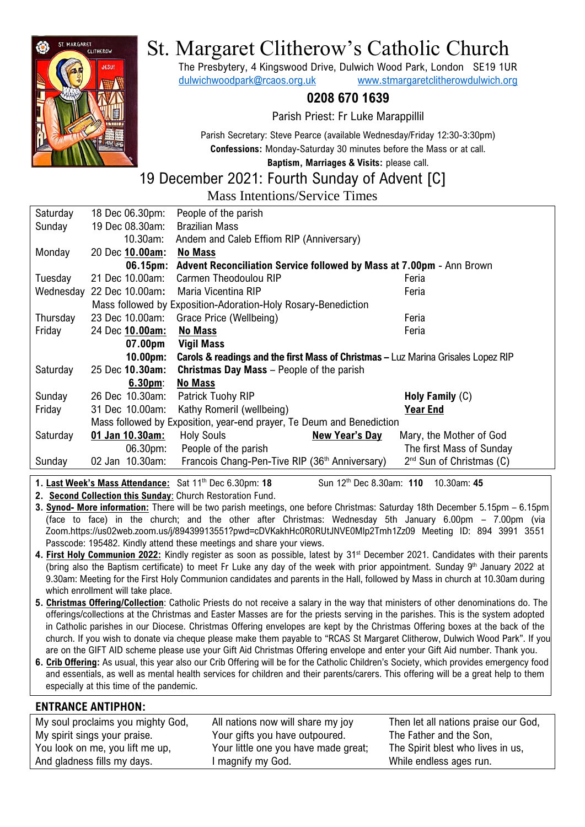

# St. Margaret Clitherow's Catholic Church

The Presbytery, 4 Kingswood Drive, Dulwich Wood Park, London SE19 1UR [dulwichwoodpark@rcaos.org.uk](mailto:dulwichwoodpark@rcaos.org.uk) [www.stmargaretclitherowdulwich.org](http://www.stmargaretclitherowdulwich.org/)

## **0208 670 1639**

Parish Priest: Fr Luke Marappillil

Parish Secretary: Steve Pearce (available Wednesday/Friday 12:30-3:30pm) **Confessions:** Monday-Saturday 30 minutes before the Mass or at call.

**Baptism, Marriages & Visits:** please call.

# 19 December 2021: Fourth Sunday of Advent [C]

Mass Intentions/Service Times

| Saturday                                                              | 18 Dec 06.30pm:           | People of the parish                                                                         |                            |  |  |
|-----------------------------------------------------------------------|---------------------------|----------------------------------------------------------------------------------------------|----------------------------|--|--|
| Sunday                                                                | 19 Dec 08.30am:           | <b>Brazilian Mass</b>                                                                        |                            |  |  |
|                                                                       | 10.30am:                  | Andem and Caleb Effiom RIP (Anniversary)                                                     |                            |  |  |
| Monday                                                                | 20 Dec 10.00am:           | <b>No Mass</b>                                                                               |                            |  |  |
|                                                                       |                           | 06.15pm: Advent Reconciliation Service followed by Mass at 7.00pm - Ann Brown                |                            |  |  |
| Tuesday                                                               | 21 Dec 10.00am:           | Carmen Theodoulou RIP                                                                        | Feria                      |  |  |
|                                                                       | Wednesday 22 Dec 10.00am: | Maria Vicentina RIP                                                                          | Feria                      |  |  |
|                                                                       |                           | Mass followed by Exposition-Adoration-Holy Rosary-Benediction                                |                            |  |  |
| Thursday                                                              | 23 Dec 10.00am:           | Grace Price (Wellbeing)                                                                      | Feria                      |  |  |
| Friday                                                                | 24 Dec 10.00am:           | <b>No Mass</b>                                                                               | Feria                      |  |  |
|                                                                       | 07.00pm                   | Vigil Mass                                                                                   |                            |  |  |
|                                                                       | $10.00pm$ :               | <b>Carols &amp; readings and the first Mass of Christmas - Luz Marina Grisales Lopez RIP</b> |                            |  |  |
| Saturday                                                              | 25 Dec 10.30am:           | <b>Christmas Day Mass</b> – People of the parish                                             |                            |  |  |
|                                                                       | 6.30 <sub>pm</sub>        | <b>No Mass</b>                                                                               |                            |  |  |
| Sunday                                                                | 26 Dec 10.30am:           | Patrick Tuohy RIP                                                                            | Holy Family $(C)$          |  |  |
| Friday                                                                | 31 Dec 10.00am:           | Kathy Romeril (wellbeing)                                                                    | Year End                   |  |  |
| Mass followed by Exposition, year-end prayer, Te Deum and Benediction |                           |                                                                                              |                            |  |  |
| Saturday                                                              | 01 Jan 10.30am:           | <b>Holy Souls</b><br><b>New Year's Day</b>                                                   | Mary, the Mother of God    |  |  |
|                                                                       | 06.30pm:                  | People of the parish                                                                         | The first Mass of Sunday   |  |  |
| Sunday                                                                | 02 Jan 10.30am:           | Francois Chang-Pen-Tive RIP (36 <sup>th</sup> Anniversary)                                   | $2nd$ Sun of Christmas (C) |  |  |
|                                                                       |                           |                                                                                              |                            |  |  |

**1. Last Week's Mass Attendance:** Sat 11th Dec 6.30pm: **18** Sun 12th Dec 8.30am: **110** 10.30am: **45**

**2. Second Collection this Sunday**: Church Restoration Fund.

**3. Synod- More information:** There will be two parish meetings, one before Christmas: Saturday 18th December 5.15pm – 6.15pm (face to face) in the church; and the other after Christmas: Wednesday 5th January 6.00pm – 7.00pm (via Zoom.https://us02web.zoom.us/j/89439913551?pwd=cDVKakhHc0R0RUtJNVE0Mlp2Tmh1Zz09 Meeting ID: 894 3991 3551 Passcode: 195482. Kindly attend these meetings and share your views.

- 4. First Holy Communion 2022: Kindly register as soon as possible, latest by 31<sup>st</sup> December 2021. Candidates with their parents (bring also the Baptism certificate) to meet Fr Luke any day of the week with prior appointment. Sunday  $9<sup>th</sup>$  January 2022 at 9.30am: Meeting for the First Holy Communion candidates and parents in the Hall, followed by Mass in church at 10.30am during which enrollment will take place.
- **5. Christmas Offering/Collection**: Catholic Priests do not receive a salary in the way that ministers of other denominations do. The offerings/collections at the Christmas and Easter Masses are for the priests serving in the parishes. This is the system adopted in Catholic parishes in our Diocese. Christmas Offering envelopes are kept by the Christmas Offering boxes at the back of the church. If you wish to donate via cheque please make them payable to "RCAS St Margaret Clitherow, Dulwich Wood Park". If you are on the GIFT AID scheme please use your Gift Aid Christmas Offering envelope and enter your Gift Aid number. Thank you.
- **6. Crib Offering:** As usual, this year also our Crib Offering will be for the Catholic Children's Society, which provides emergency food and essentials, as well as mental health services for children and their parents/carers. This offering will be a great help to them especially at this time of the pandemic.

#### **ENTRANCE ANTIPHON:**

| My soul proclaims you mighty God, | All nations now will share my joy    | Then let all nations praise our God, |
|-----------------------------------|--------------------------------------|--------------------------------------|
| My spirit sings your praise.      | Your gifts you have outpoured.       | The Father and the Son,              |
| You look on me, you lift me up,   | Your little one you have made great; | The Spirit blest who lives in us,    |
| And gladness fills my days.       | l magnify my God.                    | While endless ages run.              |